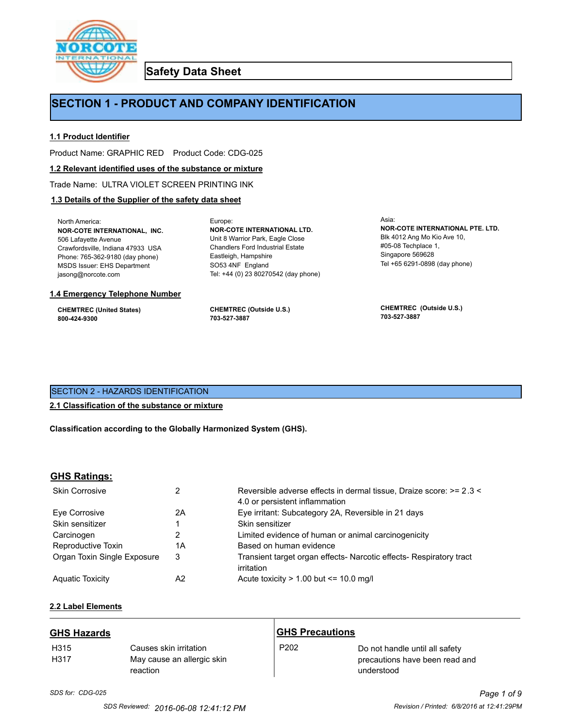

**Safety Data Sheet**

# **SECTION 1 - PRODUCT AND COMPANY IDENTIFICATION**

Europe:

# **1.1 Product Identifier**

Product Name: GRAPHIC RED Product Code: CDG-025

### **1.2 Relevant identified uses of the substance or mixture**

Trade Name: ULTRA VIOLET SCREEN PRINTING INK

# **1.3 Details of the Supplier of the safety data sheet**

North America: **NOR-COTE INTERNATIONAL, INC.** 506 Lafayette Avenue Crawfordsville, Indiana 47933 USA Phone: 765-362-9180 (day phone) MSDS Issuer: EHS Department jasong@norcote.com

#### **1.4 Emergency Telephone Number**

**CHEMTREC (United States) 800-424-9300**

**CHEMTREC (Outside U.S.) 703-527-3887**

Eastleigh, Hampshire SO53 4NF England

**NOR-COTE INTERNATIONAL LTD.** Unit 8 Warrior Park, Eagle Close Chandlers Ford Industrial Estate

Tel: +44 (0) 23 80270542 (day phone)

Asia: **NOR-COTE INTERNATIONAL PTE. LTD.** Blk 4012 Ang Mo Kio Ave 10, #05-08 Techplace 1, Singapore 569628 Tel +65 6291-0898 (day phone)

**CHEMTREC (Outside U.S.) 703-527-3887**

# SECTION 2 - HAZARDS IDENTIFICATION

# **2.1 Classification of the substance or mixture**

**Classification according to the Globally Harmonized System (GHS).**

# **GHS Ratings:**

| <b>Skin Corrosive</b>       | 2  | Reversible adverse effects in dermal tissue, Draize score: >= 2.3 <<br>4.0 or persistent inflammation |
|-----------------------------|----|-------------------------------------------------------------------------------------------------------|
| Eve Corrosive               | 2A | Eye irritant: Subcategory 2A, Reversible in 21 days                                                   |
| Skin sensitizer             |    | Skin sensitizer                                                                                       |
| Carcinogen                  |    | Limited evidence of human or animal carcinogenicity                                                   |
| Reproductive Toxin          | 1A | Based on human evidence                                                                               |
| Organ Toxin Single Exposure | 3  | Transient target organ effects- Narcotic effects- Respiratory tract<br>irritation                     |
| <b>Aguatic Toxicity</b>     | A2 | Acute toxicity $> 1.00$ but $\leq 10.0$ mg/l                                                          |

# **2.2 Label Elements**

| <b>GHS Hazards</b>       |                                                                  | <b>GHS Precautions</b> |                                                                                |
|--------------------------|------------------------------------------------------------------|------------------------|--------------------------------------------------------------------------------|
| H <sub>315</sub><br>H317 | Causes skin irritation<br>May cause an allergic skin<br>reaction | P <sub>202</sub>       | Do not handle until all safety<br>precautions have been read and<br>understood |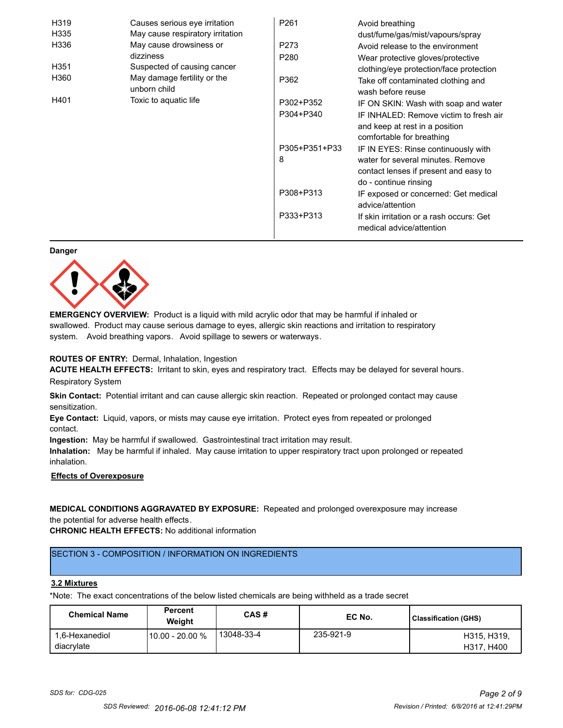| H319             | Causes serious eye irritation               | P261          | Avoid breathing                                                                                       |
|------------------|---------------------------------------------|---------------|-------------------------------------------------------------------------------------------------------|
| H335             | May cause respiratory irritation            |               | dust/fume/gas/mist/vapours/spray                                                                      |
| H336             | May cause drowsiness or                     | P273          | Avoid release to the environment                                                                      |
|                  | dizziness                                   | P280          | Wear protective gloves/protective                                                                     |
| H <sub>351</sub> | Suspected of causing cancer                 |               | clothing/eye protection/face protection                                                               |
| H360             | May damage fertility or the<br>unborn child | P362          | Take off contaminated clothing and<br>wash before reuse                                               |
| H401             | Toxic to aquatic life                       | P302+P352     | IF ON SKIN: Wash with soap and water                                                                  |
|                  |                                             | P304+P340     | IF INHALED: Remove victim to fresh air<br>and keep at rest in a position<br>comfortable for breathing |
|                  |                                             | P305+P351+P33 | IF IN EYES: Rinse continuously with                                                                   |
|                  |                                             | 8             | water for several minutes. Remove<br>contact lenses if present and easy to<br>do - continue rinsing   |
|                  |                                             | P308+P313     | IF exposed or concerned: Get medical<br>advice/attention                                              |
|                  |                                             | P333+P313     | If skin irritation or a rash occurs: Get<br>medical advice/attention                                  |

#### **Danger**



**EMERGENCY OVERVIEW:** Product is a liquid with mild acrylic odor that may be harmful if inhaled or swallowed. Product may cause serious damage to eyes, allergic skin reactions and irritation to respiratory system. Avoid breathing vapors. Avoid spillage to sewers or waterways.

# **ROUTES OF ENTRY:** Dermal, Inhalation, Ingestion

**ACUTE HEALTH EFFECTS:** Irritant to skin, eyes and respiratory tract. Effects may be delayed for several hours. Respiratory System

**Skin Contact:** Potential irritant and can cause allergic skin reaction. Repeated or prolonged contact may cause sensitization.

**Eye Contact:** Liquid, vapors, or mists may cause eye irritation. Protect eyes from repeated or prolonged contact.

**Ingestion:** May be harmful if swallowed. Gastrointestinal tract irritation may result.

**Inhalation:** May be harmful if inhaled. May cause irritation to upper respiratory tract upon prolonged or repeated inhalation.

# **Effects of Overexposure**

# **MEDICAL CONDITIONS AGGRAVATED BY EXPOSURE:** Repeated and prolonged overexposure may increase the potential for adverse health effects.

**CHRONIC HEALTH EFFECTS:** No additional information

# SECTION 3 - COMPOSITION / INFORMATION ON INGREDIENTS

#### **3.2 Mixtures**

\*Note: The exact concentrations of the below listed chemicals are being withheld as a trade secret

| <b>Chemical Name</b>         | <b>Percent</b><br>Weiaht | CAS#       | EC No.    | Classification (GHS)      |
|------------------------------|--------------------------|------------|-----------|---------------------------|
| 1.6-Hexanediol<br>diacrylate | 10.00 - 20.00 %          | 13048-33-4 | 235-921-9 | H315, H319.<br>H317, H400 |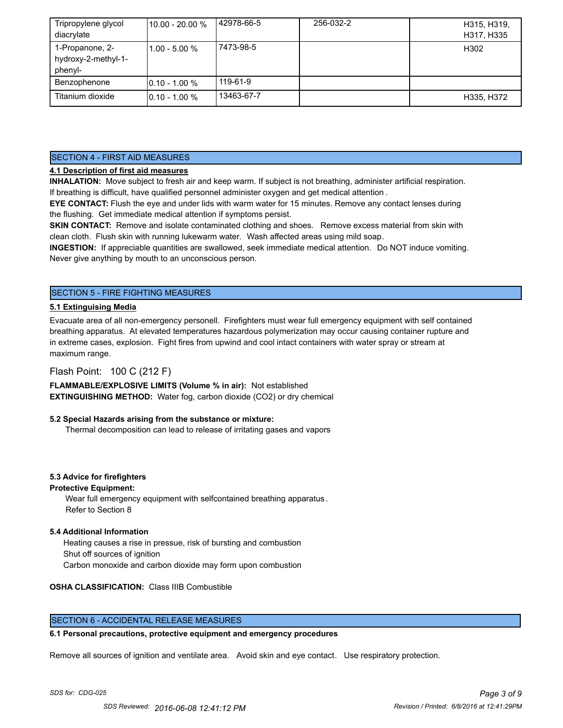| Tripropylene glycol<br>diacrylate                 | 110.00 - 20.00 % | 42978-66-5 | 256-032-2 | H315, H319,<br>H317, H335 |
|---------------------------------------------------|------------------|------------|-----------|---------------------------|
| 1-Propanone, 2-<br>hydroxy-2-methyl-1-<br>phenyl- | $1.00 - 5.00 %$  | 7473-98-5  |           | H302                      |
| Benzophenone                                      | $10.10 - 1.00 %$ | 119-61-9   |           |                           |
| Titanium dioxide                                  | $10.10 - 1.00 %$ | 13463-67-7 |           | H335, H372                |

# SECTION 4 - FIRST AID MEASURES

# **4.1 Description of first aid measures**

**INHALATION:** Move subject to fresh air and keep warm. If subject is not breathing, administer artificial respiration. If breathing is difficult, have qualified personnel administer oxygen and get medical attention .

**EYE CONTACT:** Flush the eye and under lids with warm water for 15 minutes. Remove any contact lenses during the flushing. Get immediate medical attention if symptoms persist.

**SKIN CONTACT:** Remove and isolate contaminated clothing and shoes. Remove excess material from skin with clean cloth. Flush skin with running lukewarm water. Wash affected areas using mild soap.

**INGESTION:** If appreciable quantities are swallowed, seek immediate medical attention. Do NOT induce vomiting. Never give anything by mouth to an unconscious person.

# SECTION 5 - FIRE FIGHTING MEASURES

# **5.1 Extinguising Media**

Evacuate area of all non-emergency personell. Firefighters must wear full emergency equipment with self contained breathing apparatus. At elevated temperatures hazardous polymerization may occur causing container rupture and in extreme cases, explosion. Fight fires from upwind and cool intact containers with water spray or stream at maximum range.

# Flash Point: 100 C (212 F)

**FLAMMABLE/EXPLOSIVE LIMITS (Volume % in air):** Not established **EXTINGUISHING METHOD:** Water fog, carbon dioxide (CO2) or dry chemical

# **5.2 Special Hazards arising from the substance or mixture:**

Thermal decomposition can lead to release of irritating gases and vapors

# **5.3 Advice for firefighters**

# **Protective Equipment:**

Wear full emergency equipment with selfcontained breathing apparatus . Refer to Section 8

# **5.4 Additional Information**

 Heating causes a rise in pressue, risk of bursting and combustion Shut off sources of ignition Carbon monoxide and carbon dioxide may form upon combustion

# **OSHA CLASSIFICATION:** Class IIIB Combustible

# SECTION 6 - ACCIDENTAL RELEASE MEASURES

# **6.1 Personal precautions, protective equipment and emergency procedures**

Remove all sources of ignition and ventilate area. Avoid skin and eye contact. Use respiratory protection.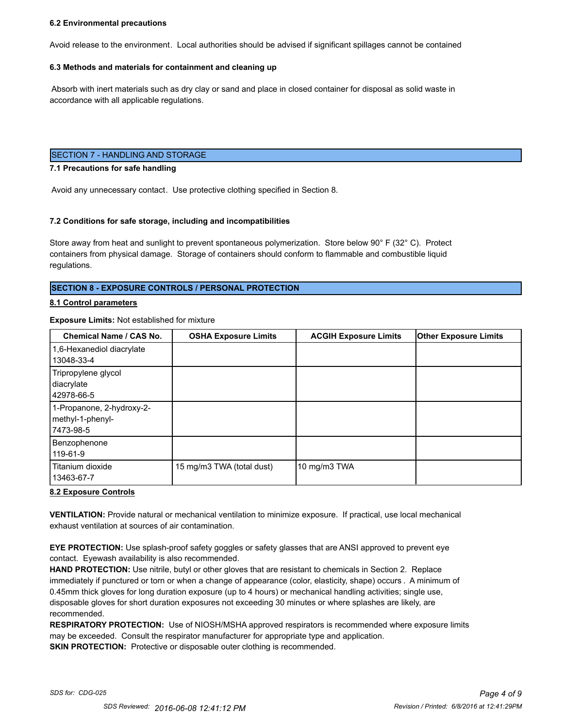#### **6.2 Environmental precautions**

Avoid release to the environment. Local authorities should be advised if significant spillages cannot be contained

#### **6.3 Methods and materials for containment and cleaning up**

 Absorb with inert materials such as dry clay or sand and place in closed container for disposal as solid waste in accordance with all applicable regulations.

### SECTION 7 - HANDLING AND STORAGE

#### **7.1 Precautions for safe handling**

Avoid any unnecessary contact. Use protective clothing specified in Section 8.

#### **7.2 Conditions for safe storage, including and incompatibilities**

Store away from heat and sunlight to prevent spontaneous polymerization. Store below 90° F (32° C). Protect containers from physical damage. Storage of containers should conform to flammable and combustible liquid regulations.

# **SECTION 8 - EXPOSURE CONTROLS / PERSONAL PROTECTION**

#### **8.1 Control parameters**

# **Exposure Limits:** Not established for mixture

| <b>Chemical Name / CAS No.</b>                              | <b>OSHA Exposure Limits</b> | <b>ACGIH Exposure Limits</b> | <b>Other Exposure Limits</b> |
|-------------------------------------------------------------|-----------------------------|------------------------------|------------------------------|
| 1,6-Hexanediol diacrylate<br>13048-33-4                     |                             |                              |                              |
| Tripropylene glycol<br>diacrylate<br>42978-66-5             |                             |                              |                              |
| 1-Propanone, 2-hydroxy-2-<br>methyl-1-phenyl-<br> 7473-98-5 |                             |                              |                              |
| Benzophenone<br>119-61-9                                    |                             |                              |                              |
| Titanium dioxide<br>13463-67-7                              | 15 mg/m3 TWA (total dust)   | 10 mg/m3 TWA                 |                              |

#### **8.2 Exposure Controls**

**VENTILATION:** Provide natural or mechanical ventilation to minimize exposure. If practical, use local mechanical exhaust ventilation at sources of air contamination.

**EYE PROTECTION:** Use splash-proof safety goggles or safety glasses that are ANSI approved to prevent eye contact. Eyewash availability is also recommended.

**HAND PROTECTION:** Use nitrile, butyl or other gloves that are resistant to chemicals in Section 2. Replace immediately if punctured or torn or when a change of appearance (color, elasticity, shape) occurs . A minimum of 0.45mm thick gloves for long duration exposure (up to 4 hours) or mechanical handling activities; single use, disposable gloves for short duration exposures not exceeding 30 minutes or where splashes are likely, are recommended.

**RESPIRATORY PROTECTION:** Use of NIOSH/MSHA approved respirators is recommended where exposure limits may be exceeded. Consult the respirator manufacturer for appropriate type and application. **SKIN PROTECTION:** Protective or disposable outer clothing is recommended.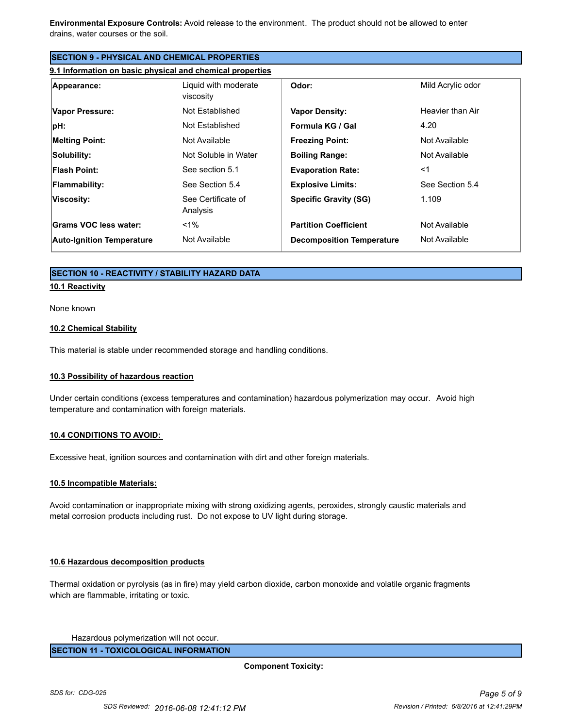**Environmental Exposure Controls:** Avoid release to the environment. The product should not be allowed to enter drains, water courses or the soil.

| <b>SECTION 9 - PHYSICAL AND CHEMICAL PROPERTIES</b>       |                                   |                                  |                   |
|-----------------------------------------------------------|-----------------------------------|----------------------------------|-------------------|
| 9.1 Information on basic physical and chemical properties |                                   |                                  |                   |
| Appearance:                                               | Liquid with moderate<br>viscosity | Odor:                            | Mild Acrylic odor |
| <b>Vapor Pressure:</b>                                    | Not Established                   | <b>Vapor Density:</b>            | Heavier than Air  |
| pH:                                                       | Not Established                   | Formula KG / Gal                 | 4.20              |
| <b>Melting Point:</b>                                     | Not Available                     | <b>Freezing Point:</b>           | Not Available     |
| Solubility:                                               | Not Soluble in Water              | <b>Boiling Range:</b>            | Not Available     |
| <b>Flash Point:</b>                                       | See section 5.1                   | <b>Evaporation Rate:</b>         | $<$ 1             |
| <b>Flammability:</b>                                      | See Section 5.4                   | <b>Explosive Limits:</b>         | See Section 5.4   |
| Viscosity:                                                | See Certificate of<br>Analysis    | <b>Specific Gravity (SG)</b>     | 1.109             |
| Grams VOC less water:                                     | $< 1\%$                           | <b>Partition Coefficient</b>     | Not Available     |
| <b>Auto-Ignition Temperature</b>                          | Not Available                     | <b>Decomposition Temperature</b> | Not Available     |

# **SECTION 10 - REACTIVITY / STABILITY HAZARD DATA**

#### **10.1 Reactivity**

None known

#### **10.2 Chemical Stability**

This material is stable under recommended storage and handling conditions.

# **10.3 Possibility of hazardous reaction**

Under certain conditions (excess temperatures and contamination) hazardous polymerization may occur. Avoid high temperature and contamination with foreign materials.

# **10.4 CONDITIONS TO AVOID:**

Excessive heat, ignition sources and contamination with dirt and other foreign materials.

# **10.5 Incompatible Materials:**

Avoid contamination or inappropriate mixing with strong oxidizing agents, peroxides, strongly caustic materials and metal corrosion products including rust. Do not expose to UV light during storage.

#### **10.6 Hazardous decomposition products**

Thermal oxidation or pyrolysis (as in fire) may yield carbon dioxide, carbon monoxide and volatile organic fragments which are flammable, irritating or toxic.

Hazardous polymerization will not occur.

**SECTION 11 - TOXICOLOGICAL INFORMATION**

**Component Toxicity:**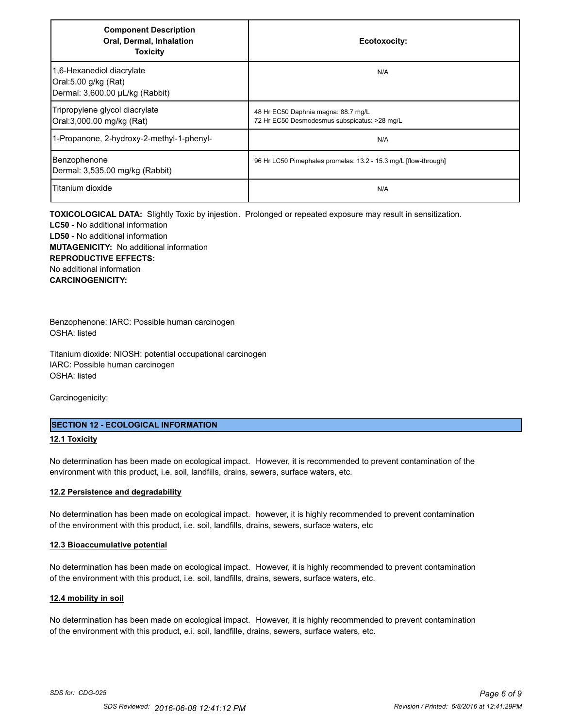| <b>Component Description</b><br>Oral, Dermal, Inhalation<br><b>Toxicity</b>          | Ecotoxocity:                                                                        |
|--------------------------------------------------------------------------------------|-------------------------------------------------------------------------------------|
| 1,6-Hexanediol diacrylate<br>Oral:5.00 g/kg (Rat)<br>Dermal: 3,600.00 µL/kg (Rabbit) | N/A                                                                                 |
| Tripropylene glycol diacrylate<br>Oral:3,000.00 mg/kg (Rat)                          | 48 Hr EC50 Daphnia magna: 88.7 mg/L<br>72 Hr EC50 Desmodesmus subspicatus: >28 mg/L |
| 1-Propanone, 2-hydroxy-2-methyl-1-phenyl-                                            | N/A                                                                                 |
| Benzophenone<br>Dermal: 3,535.00 mg/kg (Rabbit)                                      | 96 Hr LC50 Pimephales promelas: 13.2 - 15.3 mg/L [flow-through]                     |
| Titanium dioxide                                                                     | N/A                                                                                 |

**TOXICOLOGICAL DATA:** Slightly Toxic by injestion. Prolonged or repeated exposure may result in sensitization. **LC50** - No additional information **LD50** - No additional information **MUTAGENICITY:** No additional information **REPRODUCTIVE EFFECTS:** No additional information **CARCINOGENICITY:**

Benzophenone: IARC: Possible human carcinogen OSHA: listed

Titanium dioxide: NIOSH: potential occupational carcinogen IARC: Possible human carcinogen OSHA: listed

Carcinogenicity:

# **SECTION 12 - ECOLOGICAL INFORMATION**

# **12.1 Toxicity**

No determination has been made on ecological impact. However, it is recommended to prevent contamination of the environment with this product, i.e. soil, landfills, drains, sewers, surface waters, etc.

#### **12.2 Persistence and degradability**

No determination has been made on ecological impact. however, it is highly recommended to prevent contamination of the environment with this product, i.e. soil, landfills, drains, sewers, surface waters, etc

#### **12.3 Bioaccumulative potential**

No determination has been made on ecological impact. However, it is highly recommended to prevent contamination of the environment with this product, i.e. soil, landfills, drains, sewers, surface waters, etc.

#### **12.4 mobility in soil**

No determination has been made on ecological impact. However, it is highly recommended to prevent contamination of the environment with this product, e.i. soil, landfille, drains, sewers, surface waters, etc.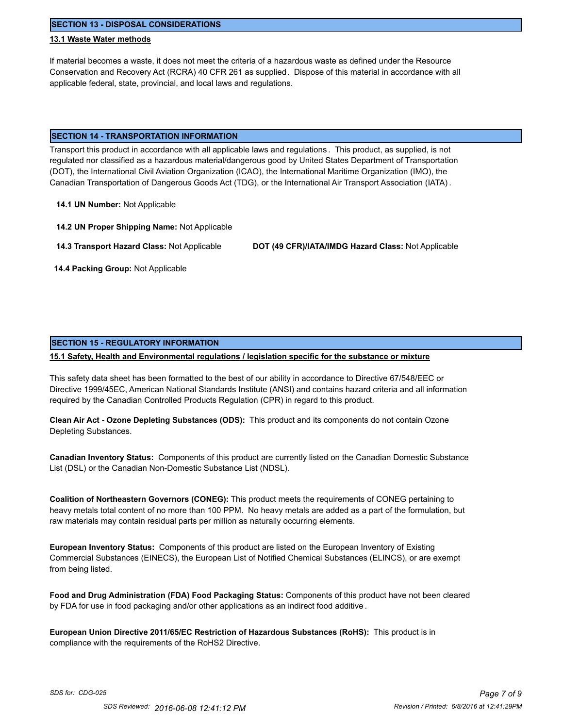**SECTION 13 - DISPOSAL CONSIDERATIONS**

# **13.1 Waste Water methods**

If material becomes a waste, it does not meet the criteria of a hazardous waste as defined under the Resource Conservation and Recovery Act (RCRA) 40 CFR 261 as supplied. Dispose of this material in accordance with all applicable federal, state, provincial, and local laws and regulations.

### **SECTION 14 - TRANSPORTATION INFORMATION**

Transport this product in accordance with all applicable laws and regulations . This product, as supplied, is not regulated nor classified as a hazardous material/dangerous good by United States Department of Transportation (DOT), the International Civil Aviation Organization (ICAO), the International Maritime Organization (IMO), the Canadian Transportation of Dangerous Goods Act (TDG), or the International Air Transport Association (IATA) .

**14.1 UN Number:** Not Applicable

**14.2 UN Proper Shipping Name:** Not Applicable

**14.3 Transport Hazard Class:** Not Applicable **DOT (49 CFR)/IATA/IMDG Hazard Class:** Not Applicable

 **14.4 Packing Group:** Not Applicable

# **SECTION 15 - REGULATORY INFORMATION**

# **15.1 Safety, Health and Environmental regulations / legislation specific for the substance or mixture**

This safety data sheet has been formatted to the best of our ability in accordance to Directive 67/548/EEC or Directive 1999/45EC, American National Standards Institute (ANSI) and contains hazard criteria and all information required by the Canadian Controlled Products Regulation (CPR) in regard to this product.

**Clean Air Act - Ozone Depleting Substances (ODS):** This product and its components do not contain Ozone Depleting Substances.

**Canadian Inventory Status:** Components of this product are currently listed on the Canadian Domestic Substance List (DSL) or the Canadian Non-Domestic Substance List (NDSL).

**Coalition of Northeastern Governors (CONEG):** This product meets the requirements of CONEG pertaining to heavy metals total content of no more than 100 PPM. No heavy metals are added as a part of the formulation, but raw materials may contain residual parts per million as naturally occurring elements.

**European Inventory Status:** Components of this product are listed on the European Inventory of Existing Commercial Substances (EINECS), the European List of Notified Chemical Substances (ELINCS), or are exempt from being listed.

**Food and Drug Administration (FDA) Food Packaging Status:** Components of this product have not been cleared by FDA for use in food packaging and/or other applications as an indirect food additive .

**European Union Directive 2011/65/EC Restriction of Hazardous Substances (RoHS):** This product is in compliance with the requirements of the RoHS2 Directive.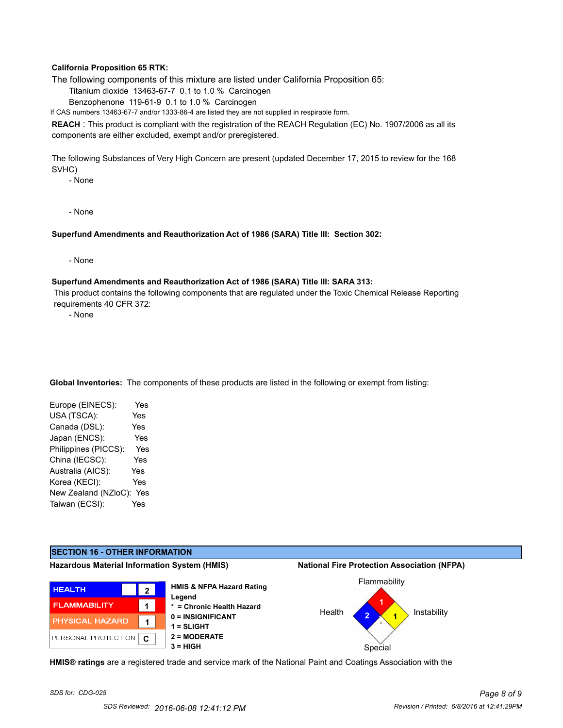# **California Proposition 65 RTK:**

The following components of this mixture are listed under California Proposition 65:

Titanium dioxide 13463-67-7 0.1 to 1.0 % Carcinogen

Benzophenone 119-61-9 0.1 to 1.0 % Carcinogen

If CAS numbers 13463-67-7 and/or 1333-86-4 are listed they are not supplied in respirable form.

**REACH** : This product is compliant with the registration of the REACH Regulation (EC) No. 1907/2006 as all its components are either excluded, exempt and/or preregistered.

The following Substances of Very High Concern are present (updated December 17, 2015 to review for the 168 SVHC)

- None

- None

#### **Superfund Amendments and Reauthorization Act of 1986 (SARA) Title III: Section 302:**

- None

#### **Superfund Amendments and Reauthorization Act of 1986 (SARA) Title III: SARA 313:**

 This product contains the following components that are regulated under the Toxic Chemical Release Reporting requirements 40 CFR 372:

- None

**Global Inventories:** The components of these products are listed in the following or exempt from listing:

| Europe (EINECS):     | Yes |
|----------------------|-----|
| USA (TSCA):          | Yes |
| Canada (DSL):        | Yes |
| Japan (ENCS):        | Yes |
| Philippines (PICCS): | Yes |
| China (IECSC):       | Yes |
| Australia (AICS):    | Yes |
| Korea (KECI):        | Yes |
| New Zealand (NZloC): | Yes |
| Taiwan (ECSI):       | Yes |



**HMIS® ratings** are a registered trade and service mark of the National Paint and Coatings Association with the